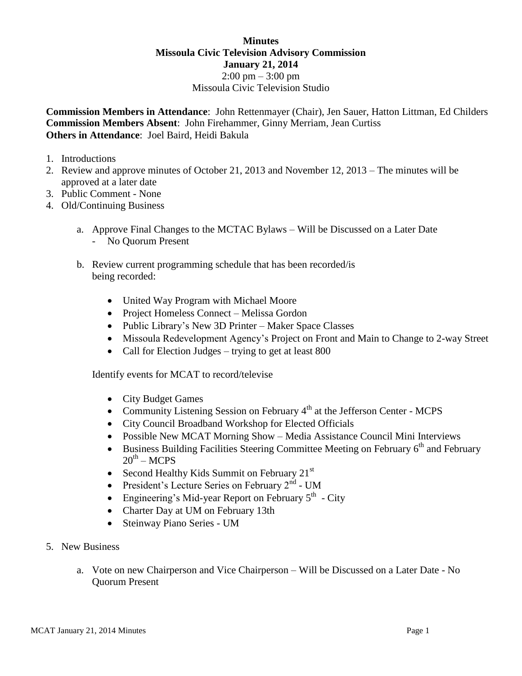## **Minutes Missoula Civic Television Advisory Commission January 21, 2014**  $2:00 \text{ pm} - 3:00 \text{ pm}$ Missoula Civic Television Studio

**Commission Members in Attendance**: John Rettenmayer (Chair), Jen Sauer, Hatton Littman, Ed Childers **Commission Members Absent**: John Firehammer, Ginny Merriam, Jean Curtiss **Others in Attendance**: Joel Baird, Heidi Bakula

- 1. Introductions
- 2. Review and approve minutes of October 21, 2013 and November 12, 2013 The minutes will be approved at a later date
- 3. Public Comment None
- 4. Old/Continuing Business
	- a. Approve Final Changes to the MCTAC Bylaws Will be Discussed on a Later Date
		- No Quorum Present
	- b. Review current programming schedule that has been recorded/is being recorded:
		- United Way Program with Michael Moore
		- Project Homeless Connect Melissa Gordon
		- Public Library's New 3D Printer Maker Space Classes
		- Missoula Redevelopment Agency's Project on Front and Main to Change to 2-way Street
		- Call for Election Judges trying to get at least 800

Identify events for MCAT to record/televise

- City Budget Games
- Community Listening Session on February  $4<sup>th</sup>$  at the Jefferson Center MCPS
- City Council Broadband Workshop for Elected Officials
- Possible New MCAT Morning Show Media Assistance Council Mini Interviews
- Business Building Facilities Steering Committee Meeting on February  $6<sup>th</sup>$  and February  $20^{\text{th}}$  – MCPS
- Second Healthy Kids Summit on February  $21<sup>st</sup>$
- President's Lecture Series on February  $2^{nd}$  UM
- Engineering's Mid-year Report on February  $5<sup>th</sup>$  City
- Charter Day at UM on February 13th
- Steinway Piano Series UM
- 5. New Business
	- a. Vote on new Chairperson and Vice Chairperson Will be Discussed on a Later Date No Quorum Present